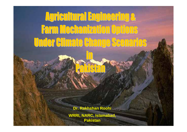**Agricultural Engineering & Farm Mechanization Options** Under Glimate Ghange Seenarios

> **Dr. Rakhshan Roohi WRRI, NARC, Islamabad, Pakistan**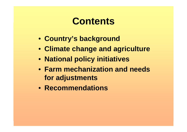## **Contents**

- **Country's background**
- **Climate change and agriculture**
- **National policy initiatives**
- **Farm mechanization and needs for adjustments**
- **Recommendations**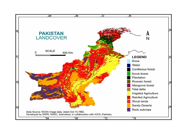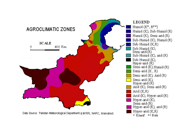

 $*$  Kharif.  $**$  Rabi.

Data Source: Pakistan Meteorological Department & WRRI, NARC, Islamabad.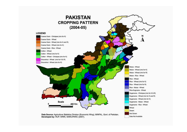#### **PAKISTAN CROPPING PATTERN**  $(2004 - 05)$



Not Grown

Data Not Available

Data Source: Agriculture Statistics Division (Economic Wing), MINFAL, Govt. of Pakistan. Developed by: RUP, WRRI, NARC/PARC (2007).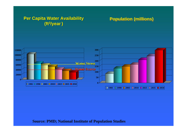#### **Per Capita Water Availability (ft 3/year ) )**

#### **Population (millions) Population (millions) Population (millions)**



**Source: PMD; National Institute of Population Studies**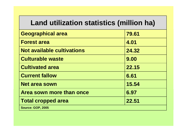### **Land utilization statistics (million ha)**

| <b>Geographical area</b>          | 79.61 |  |  |
|-----------------------------------|-------|--|--|
| <b>Forest area</b>                | 4.01  |  |  |
| <b>Not available cultivations</b> | 24.32 |  |  |
| <b>Culturable waste</b>           | 9.00  |  |  |
| <b>Cultivated area</b>            | 22.15 |  |  |
| <b>Current fallow</b>             | 6.61  |  |  |
| <b>Net area sown</b>              | 15.54 |  |  |
| Area sown more than once          | 6.97  |  |  |
| <b>Total cropped area</b>         | 22.51 |  |  |
| <b>Source: GOP, 2005</b>          |       |  |  |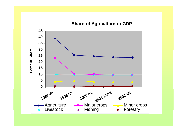#### **Share of Agriculture in GDP**

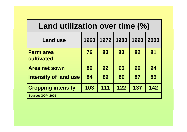| Land utilization over time (%) |      |      |      |      |      |
|--------------------------------|------|------|------|------|------|
| <b>Land use</b>                | 1960 | 1972 | 1980 | 1990 | 2000 |
| <b>Farm area</b><br>cultivated | 76   | 83   | 83   | 82   | 81   |
| <b>Area net sown</b>           | 86   | 92   | 95   | 96   | 94   |
| <b>Intensity of land use</b>   | 84   | 89   | 89   | 87   | 85   |
| <b>Cropping intensity</b>      | 103  | 111  | 122  | 137  | 142  |
| <b>Source: GOP, 2005</b>       |      |      |      |      |      |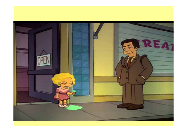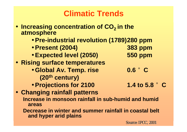### **Climatic Trends**

- Increasing concentration of CO<sub>2</sub> in the atmosphere
	- **Pre-industrial revolution (1789)280 ppm**
	- **Present (2004) 383 ppm**
	- **Expected level (2050) 550 ppm**
- **Rising surface temperatures**
	- **Global Av. Temp. rise 0.6 (20th century)**
	- **Projections for 2100 1.4 to 5.8**
- **Changing rainfall patterns Increase in monsoon rainfall in sub-humid and humid areas**

**Decrease in winter and summer rainfall in coastal belt and hyper arid plains**

°**C**

°**C**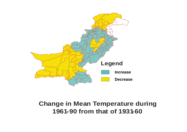

**Change in Mean Temperature during 1961-90 from that of 1931-60**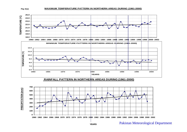**Fig-2(a)**

#### **MAXIMUM TEMPERATURE PATTERN IN NORTHERN AREAS DURING (1961-2000)**



#### Pakistan Meteorological Department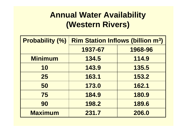### **Annual Water Availability (Western Rivers)**

| <b>Probability (%)</b> | <b>Rim Station Inflows (billion m<sup>3</sup>)</b> |         |  |  |
|------------------------|----------------------------------------------------|---------|--|--|
|                        | 1937-67                                            | 1968-96 |  |  |
| <b>Minimum</b>         | 134.5                                              | 114.9   |  |  |
| 10                     | 143.9                                              | 135.5   |  |  |
| 25                     | 163.1                                              | 153.2   |  |  |
| 50                     | 173.0                                              | 162.1   |  |  |
| 75                     | 184.9                                              | 180.9   |  |  |
| 90                     | 198.2                                              | 189.6   |  |  |
| <b>Maximum</b>         | 231.7                                              | 206.0   |  |  |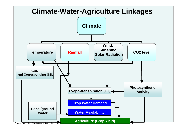### **Climate-Water-Agriculture Linkages**

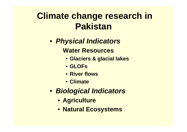## **Climate change research in Pakistan**

- *Physical Indicators* **Water Resources**
	- **Glaciers & glacial lakes**
	- **GLOFs**
	- **River flows**
	- **Climate**
- *Biological Indicators*
	- **Agriculture**
	- **Natural Ecosystems**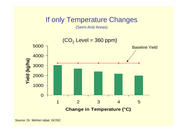### If only Temperature Changes

(Semi-Arid Areas)

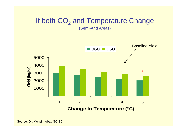### If both  $\mathsf{CO}_2$  and Temperature Change

(Semi-Arid Areas)

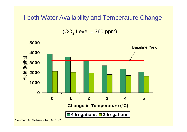If both Water Availability and Temperature Change

(CO<sub>2</sub> Level = 360 ppm)



Source: Dr. M ohsin Iqbal, G CISC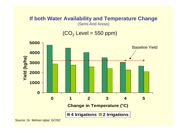#### **If both Water Availability and Temperature Change** (Semi-Arid Areas)

 $\rm (CO_{2}$  Level = 550 ppm)



Source: Dr. M ohsin Iqbal, G CISC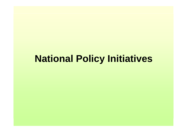## **National Policy Initiatives**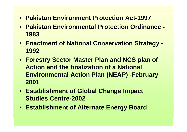- **Pakistan Environment Protection Act-1997**
- **Pakistan Environmental Protection Ordinance - 1983**
- **Enactment of National Conservation Strategy - 1992**
- **Forestry Sector Master Plan and NCS plan of Action and the finalization of a National Environmental Action Plan (NEAP) -February 2001**
- **Establishment of Global Change Impact Studies Centre-2002**
- **Establishment of Alternate Energy Board**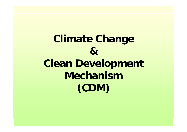## **Climate Change &Clean Development Mechanism (CDM)**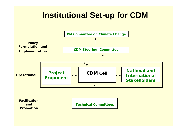### **Institutional Set-up for CDM**

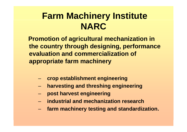## **Farm Machinery Institute NARC**

**Promotion of agricultural mechanization in the country through designing, performance evaluation and commercialization of appropriate farm machinery** 

- –**crop establishment engineering**
- –**harvesting and threshing engineering**
- –**post harvest engineering**
- –**industrial and mechanization research**
- –**farm machinery testing and standardization.**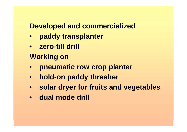### **Developed and commercialized**

- $\bullet$ **paddy transplanter**
- **zero-till drill**

### **Working on**

- $\bullet$ **pneumatic row crop planter**
- $\bullet$ **hold-on paddy thresher**
- $\bullet$ **solar dryer for fruits and vegetables**
- •**dual mode drill**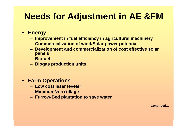## **Needs for Adjustment in AE &FM**

- **Energy**
	- –**Improvement in fuel efficiency in agricultural machinery**
	- –**Commercialization of wind/Solar power potential**
	- – **Development and commercialization of cost effective solar panels**
	- **Biofuel**
	- –**Biogas production units**
- **Farm Operations**
	- **Low cost laser leveler**
	- –**Minimum/zero tillage**
	- –**Furrow-Bed plantation to save water**

**Continued…**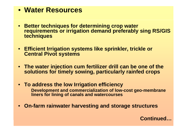- **Water Resources**
- **Better techniques for determining crop water requirements or irrigation demand preferably sing RS/GIS techniques**
- **Efficient Irrigation systems like sprinkler, trickle or Central Pivot systems**
- **The water injection cum fertilizer drill can be one of the solutions for timely sowing, particularly rainfed crops**
- **To address the low Irrigation efficiency Development and commercialization of low-cost geo-membrane liners for lining of canals and watercourses**
- **On-farm rainwater harvesting and storage structures**

**Continued…**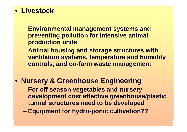#### • **Livestock**

- – **Environmental management systems and preventing pollution for intensive animal production units**
- – **Animal housing and storage structures with ventilation systems, temperature and humidity controls, and on-farm waste management**
- **Nursery & Greenhouse Engineering** 
	- – **For off season vegetables and nursery development cost effective greenhouse/plastic tunnel structures need to be developed**
	- –**Equipment for hydro-ponic cultivation??**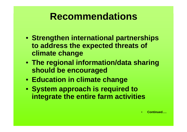## **Recommendations**

- **Strengthen international partnerships to address the expected threats of climate change**
- **The regional information/data sharing should be encouraged**
- **Education in climate change**
- **System approach is required to integrate the entire farm activities**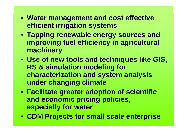- **Water management and cost effective efficient irrigation systems**
- **Tapping renewable energy sources and improving fuel efficiency in agricultural machinery**
- **Use of new tools and techniques like GIS, RS & simulation modeling for characterization and system analysis under changing climate**
- **Facilitate greater adoption of scientific and economic pricing policies, especially for water**
- **CDM Projects for small scale enterprise**